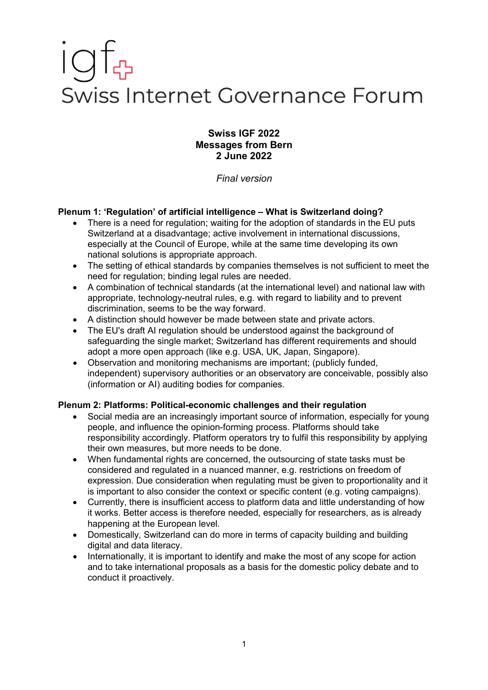# Swiss Internet Governance Forum

### **Swiss IGF 2022 Messages from Bern 2 June 2022**

*Final version*

## **Plenum 1: 'Regulation' of artificial intelligence – What is Switzerland doing?**

- There is a need for regulation; waiting for the adoption of standards in the EU puts Switzerland at a disadvantage; active involvement in international discussions, especially at the Council of Europe, while at the same time developing its own national solutions is appropriate approach.
- The setting of ethical standards by companies themselves is not sufficient to meet the need for regulation; binding legal rules are needed.
- A combination of technical standards (at the international level) and national law with appropriate, technology-neutral rules, e.g. with regard to liability and to prevent discrimination, seems to be the way forward.
- A distinction should however be made between state and private actors.
- The EU's draft AI regulation should be understood against the background of safeguarding the single market; Switzerland has different requirements and should adopt a more open approach (like e.g. USA, UK, Japan, Singapore).
- Observation and monitoring mechanisms are important; (publicly funded, independent) supervisory authorities or an observatory are conceivable, possibly also (information or AI) auditing bodies for companies.

### **Plenum 2: Platforms: Political-economic challenges and their regulation**

- Social media are an increasingly important source of information, especially for young people, and influence the opinion-forming process. Platforms should take responsibility accordingly. Platform operators try to fulfil this responsibility by applying their own measures, but more needs to be done.
- When fundamental rights are concerned, the outsourcing of state tasks must be considered and regulated in a nuanced manner, e.g. restrictions on freedom of expression. Due consideration when regulating must be given to proportionality and it is important to also consider the context or specific content (e.g. voting campaigns).
- Currently, there is insufficient access to platform data and little understanding of how it works. Better access is therefore needed, especially for researchers, as is already happening at the European level.
- Domestically, Switzerland can do more in terms of capacity building and building digital and data literacy.
- Internationally, it is important to identify and make the most of any scope for action and to take international proposals as a basis for the domestic policy debate and to conduct it proactively.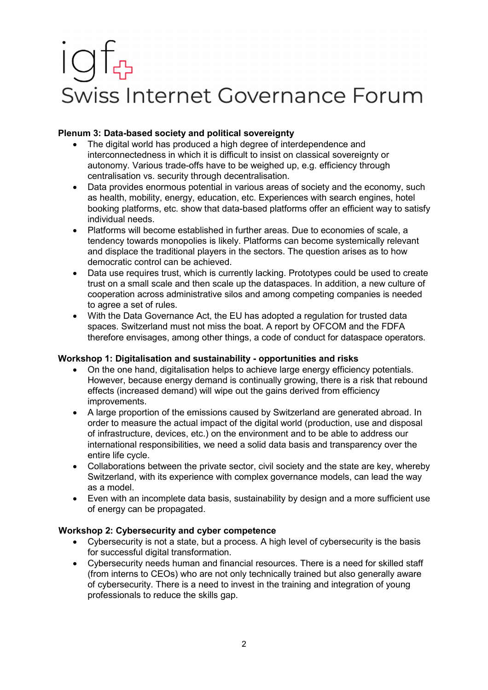# Swiss Internet Governance Forum

## **Plenum 3: Data-based society and political sovereignty**

- The digital world has produced a high degree of interdependence and interconnectedness in which it is difficult to insist on classical sovereignty or autonomy. Various trade-offs have to be weighed up, e.g. efficiency through centralisation vs. security through decentralisation.
- Data provides enormous potential in various areas of society and the economy, such as health, mobility, energy, education, etc. Experiences with search engines, hotel booking platforms, etc. show that data-based platforms offer an efficient way to satisfy individual needs.
- Platforms will become established in further areas. Due to economies of scale, a tendency towards monopolies is likely. Platforms can become systemically relevant and displace the traditional players in the sectors. The question arises as to how democratic control can be achieved.
- Data use requires trust, which is currently lacking. Prototypes could be used to create trust on a small scale and then scale up the dataspaces. In addition, a new culture of cooperation across administrative silos and among competing companies is needed to agree a set of rules.
- With the Data Governance Act, the EU has adopted a regulation for trusted data spaces. Switzerland must not miss the boat. A report by OFCOM and the FDFA therefore envisages, among other things, a code of conduct for dataspace operators.

## **Workshop 1: Digitalisation and sustainability - opportunities and risks**

- On the one hand, digitalisation helps to achieve large energy efficiency potentials. However, because energy demand is continually growing, there is a risk that rebound effects (increased demand) will wipe out the gains derived from efficiency improvements.
- A large proportion of the emissions caused by Switzerland are generated abroad. In order to measure the actual impact of the digital world (production, use and disposal of infrastructure, devices, etc.) on the environment and to be able to address our international responsibilities, we need a solid data basis and transparency over the entire life cycle.
- Collaborations between the private sector, civil society and the state are key, whereby Switzerland, with its experience with complex governance models, can lead the way as a model.
- Even with an incomplete data basis, sustainability by design and a more sufficient use of energy can be propagated.

## **Workshop 2: Cybersecurity and cyber competence**

- Cybersecurity is not a state, but a process. A high level of cybersecurity is the basis for successful digital transformation.
- Cybersecurity needs human and financial resources. There is a need for skilled staff (from interns to CEOs) who are not only technically trained but also generally aware of cybersecurity. There is a need to invest in the training and integration of young professionals to reduce the skills gap.